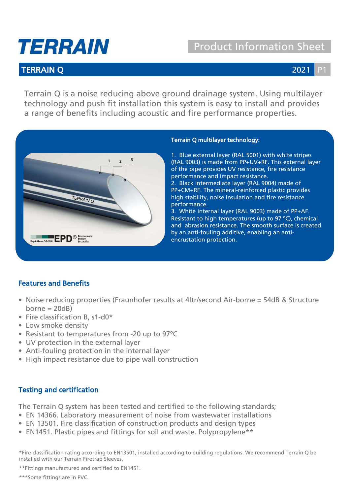# TERRAIN

## Product Information Sheet

### **TERRAIN Q** 2021 2021

Terrain Q is a noise reducing above ground drainage system. Using multilayer technology and push fit installation this system is easy to install and provides a range of benefits including acoustic and fire performance properties.



#### Terrain Q multilayer technology:

1. Blue external layer (RAL 5001) with white stripes (RAL 9003) is made from PP+UV+RF. This external layer of the pipe provides UV resistance, fire resistance performance and impact resistance.

2. Black intermediate layer (RAL 9004) made of PP+CM+RF. The mineral-reinforced plastic provides high stability, noise insulation and fire resistance performance.

3. White internal layer (RAL 9003) made of PP+AF. Resistant to high temperatures (up to 97 ºC), chemical and abrasion resistance. The smooth surface is created by an anti-fouling additive, enabling an antiencrustation protection.

### Features and Benefits

- Noise reducing properties (Fraunhofer results at 4ltr/second Air-borne = 54dB & Structure  $borne = 20dB)$
- Fire classification B, s1-d0\*
- Low smoke density
- Resistant to temperatures from -20 up to 97ºC
- UV protection in the external layer
- Anti-fouling protection in the internal layer
- High impact resistance due to pipe wall construction

#### Testing and certification

The Terrain Q system has been tested and certified to the following standards;

- EN 14366. Laboratory measurement of noise from wastewater installations
- EN 13501. Fire classification of construction products and design types
- EN1451. Plastic pipes and fittings for soil and waste. Polypropylene\*\*

\*Fire classification rating according to EN13501, installed according to building regulations. We recommend Terrain Q be installed with our Terrain Firetrap Sleeves.

\*\*Fittings manufactured and certified to EN1451.

\*\*\*Some fittings are in PVC.